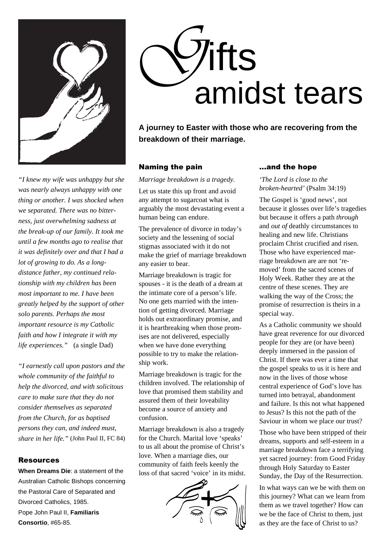

*"I knew my wife was unhappy but she was nearly always unhappy with one thing or another. I was shocked when we separated. There was no bitterness, just overwhelming sadness at the break-up of our family. It took me until a few months ago to realise that it was definitely over and that I had a lot of growing to do. As a longdistance father, my continued relationship with my children has been most important to me. I have been greatly helped by the support of other solo parents. Perhaps the most important resource is my Catholic faith and how I integrate it with my life experiences."* (a single Dad)

*"I earnestly call upon pastors and the whole community of the faithful to help the divorced, and with solicitous care to make sure that they do not consider themselves as separated from the Church, for as baptised persons they can, and indeed must, share in her life."* (John Paul II, FC 84)

#### Resources

**When Dreams Die**: a statement of the Australian Catholic Bishops concerning the Pastoral Care of Separated and Divorced Catholics, 1985. Pope John Paul II, **Familiaris Consortio**, #65-85.



**A journey to Easter with those who are recovering from the breakdown of their marriage.**

### Naming the pain

*Marriage breakdown is a tragedy.*

Let us state this up front and avoid any attempt to sugarcoat what is arguably the most devastating event a human being can endure.

The prevalence of divorce in today's society and the lessening of social stigmas associated with it do not make the grief of marriage breakdown any easier to bear.

Marriage breakdown is tragic for spouses - it is the death of a dream at the intimate core of a person's life. No one gets married with the intention of getting divorced. Marriage holds out extraordinary promise, and it is heartbreaking when those promises are not delivered, especially when we have done everything possible to try to make the relationship work.

Marriage breakdown is tragic for the children involved. The relationship of love that promised them stability and assured them of their loveability become a source of anxiety and confusion.

Marriage breakdown is also a tragedy for the Church. Marital love 'speaks' to us all about the promise of Christ's love. When a marriage dies, our community of faith feels keenly the loss of that sacred 'voice' in its midst.



## ...and the hope

*'The Lord is close to the broken-hearted'* (Psalm 34:19)

The Gospel is 'good news', not because it glosses over life's tragedies but because it offers a path *through* and *out of* deathly circumstances to healing and new life. Christians proclaim Christ crucified and risen. Those who have experienced marriage breakdown are are not 'removed' from the sacred scenes of Holy Week. Rather they are at the centre of these scenes. They are walking the way of the Cross; the promise of resurrection is theirs in a special way.

As a Catholic community we should have great reverence for our divorced people for they are (or have been) deeply immersed in the passion of Christ. If there was ever a time that the gospel speaks to us it is here and now in the lives of those whose central experience of God's love has turned into betrayal, abandonment and failure. Is this not what happened to Jesus? Is this not the path of the Saviour in whom we place our trust?

Those who have been stripped of their dreams, supports and self-esteem in a marriage breakdown face a terrifying yet sacred journey: from Good Friday through Holy Saturday to Easter Sunday, the Day of the Resurrection.

In what ways can we be with them on this journey? What can we learn from them as we travel together? How can we be the face of Christ to them, just as they are the face of Christ to us?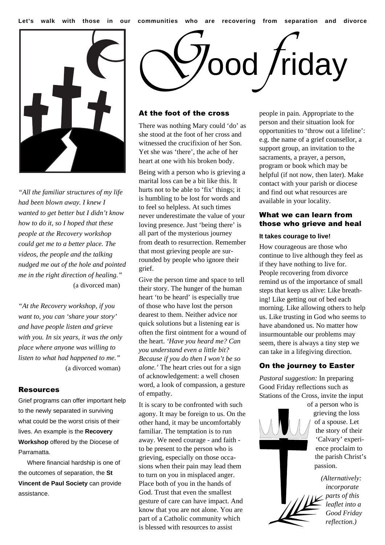

*"All the familiar structures of my life had been blown away. I knew I wanted to get better but I didn't know how to do it, so I hoped that these people at the Recovery workshop could get me to a better place. The videos, the people and the talking nudged me out of the hole and pointed me in the right direction of healing."* (a divorced man)

*"At the Recovery workshop, if you want to, you can 'share your story' and have people listen and grieve with you. In six years, it was the only place where anyone was willing to listen to what had happened to me."* (a divorced woman)

#### Resources

Grief programs can offer important help to the newly separated in surviving what could be the worst crisis of their lives. An example is the **Recovery Workshop** offered by the Diocese of Parramatta.

 Where financial hardship is one of the outcomes of separation, the **St Vincent de Paul Society** can provide assistance.



### At the foot of the cross

There was nothing Mary could 'do' as she stood at the foot of her cross and witnessed the crucifixion of her Son. Yet she was 'there', the ache of her heart at one with his broken body.

Being with a person who is grieving a marital loss can be a bit like this. It hurts not to be able to 'fix' things; it is humbling to be lost for words and to feel so helpless. At such times never underestimate the value of your loving presence. Just 'being there' is all part of the mysterious journey from death to resurrection. Remember that most grieving people are surrounded by people who ignore their grief.

Give the person time and space to tell their story. The hunger of the human heart 'to be heard' is especially true of those who have lost the person dearest to them. Neither advice nor quick solutions but a listening ear is often the first ointment for a wound of the heart. *'Have you heard me? Can you understand even a little bit? Because if you do then I won't be so alone.'* The heart cries out for a sign of acknowledgement: a well chosen word, a look of compassion, a gesture of empathy.

It is scary to be confronted with such agony. It may be foreign to us. On the other hand, it may be uncomfortably familiar. The temptation is to run away. We need courage - and faith to be present to the person who is grieving, especially on those occasions when their pain may lead them to turn on you in misplaced anger. Place both of you in the hands of God. Trust that even the smallest gesture of care can have impact. And know that you are not alone. You are part of a Catholic community which is blessed with resources to assist

people in pain. Appropriate to the person and their situation look for opportunities to 'throw out a lifeline': e.g. the name of a grief counsellor, a support group, an invitation to the sacraments, a prayer, a person, program or book which may be helpful (if not now, then later). Make contact with your parish or diocese and find out what resources are available in your locality.

#### What we can learn from those who grieve and heal

#### **It takes courage to live!**

How courageous are those who continue to live although they feel as if they have nothing to live for. People recovering from divorce remind us of the importance of small steps that keep us alive: Like breathing! Like getting out of bed each morning. Like allowing others to help us. Like trusting in God who seems to have abandoned us. No matter how insurmountable our problems may seem, there is always a tiny step we can take in a lifegiving direction.

## On the journey to Easter

*Pastoral suggestion:* In preparing Good Friday reflections such as Stations of the Cross, invite the input

of a person who is grieving the loss of a spouse. Let the story of their *parts of this*

'Calvary' experience proclaim to the parish Christ's passion. *(Alternatively: incorporate*

> *leaflet into a Good Friday reflection.)*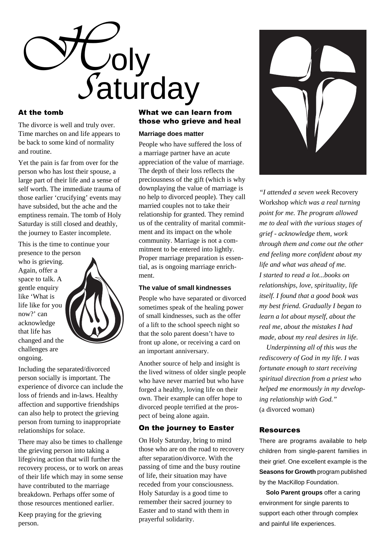

## At the tomb

The divorce is well and truly over. Time marches on and life appears to be back to some kind of normality and routine.

Yet the pain is far from over for the person who has lost their spouse, a large part of their life and a sense of self worth. The immediate trauma of those earlier 'crucifying' events may have subsided, but the ache and the emptiness remain. The tomb of Holy Saturday is still closed and deathly, the journey to Easter incomplete.

This is the time to continue your

presence to the person who is grieving. Again, offer a space to talk. A gentle enquiry like 'What is life like for you now?' can acknowledge that life has changed and the challenges are ongoing.



Including the separated/divorced person socially is important. The experience of divorce can include the loss of friends and in-laws. Healthy affection and supportive friendships can also help to protect the grieving person from turning to inappropriate relationships for solace.

There may also be times to challenge the grieving person into taking a lifegiving action that will further the recovery process, or to work on areas of their life which may in some sense have contributed to the marriage breakdown. Perhaps offer some of those resources mentioned earlier.

Keep praying for the grieving person.

## What we can learn from those who grieve and heal

### **Marriage does matter**

People who have suffered the loss of a marriage partner have an acute appreciation of the value of marriage. The depth of their loss reflects the preciousness of the gift (which is why downplaying the value of marriage is no help to divorced people). They call married couples not to take their relationship for granted. They remind us of the centrality of marital commitment and its impact on the whole community. Marriage is not a commitment to be entered into lightly. Proper marriage preparation is essential, as is ongoing marriage enrichment.

#### **The value of small kindnesses**

People who have separated or divorced sometimes speak of the healing power of small kindnesses, such as the offer of a lift to the school speech night so that the solo parent doesn't have to front up alone, or receiving a card on an important anniversary.

Another source of help and insight is the lived witness of older single people who have never married but who have forged a healthy, loving life on their own. Their example can offer hope to divorced people terrified at the prospect of being alone again.

## On the journey to Easter

On Holy Saturday, bring to mind those who are on the road to recovery after separation/divorce. With the passing of time and the busy routine of life, their situation may have receded from your consciousness. Holy Saturday is a good time to remember their sacred journey to Easter and to stand with them in prayerful solidarity.



*"I attended a seven week* Recovery Workshop *which was a real turning point for me. The program allowed me to deal with the various stages of grief - acknowledge them, work through them and come out the other end feeling more confident about my life and what was ahead of me. I started to read a lot...books on relationships, love, spirituality, life itself. I found that a good book was my best friend. Gradually I began to learn a lot about myself, about the real me, about the mistakes I had made, about my real desires in life.*

 *Underpinning all of this was the rediscovery of God in my life. I was fortunate enough to start receiving spiritual direction from a priest who helped me enormously in my developing relationship with God."* (a divorced woman)

#### Resources

There are programs available to help children from single-parent families in their grief. One excellent example is the **Seasons for Growth** program published by the MacKillop Foundation.

 **Solo Parent groups** offer a caring environment for single parents to support each other through complex and painful life experiences.